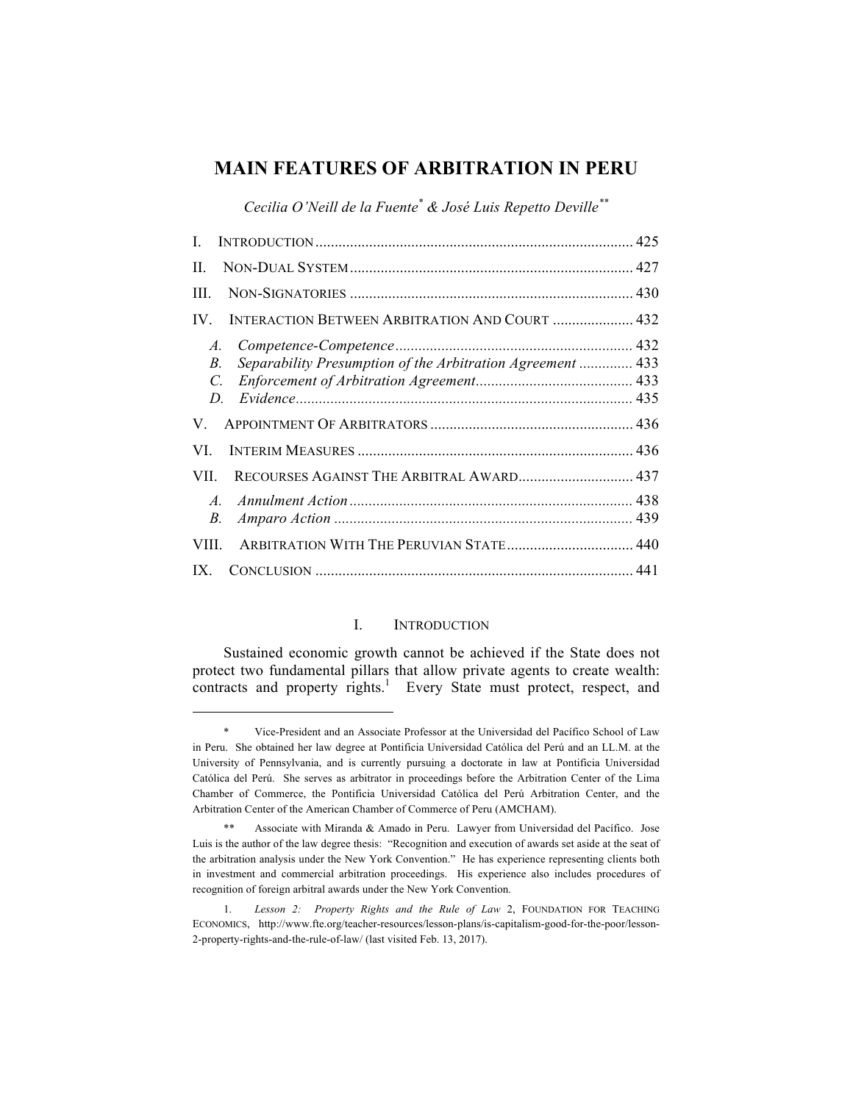# **MAIN FEATURES OF ARBITRATION IN PERU**

*Cecilia O'Neill de la Fuente\* & José Luis Repetto Deville\*\**

| $\mathbf{H}$                                                                          |  |
|---------------------------------------------------------------------------------------|--|
| III.                                                                                  |  |
| <b>INTERACTION BETWEEN ARBITRATION AND COURT  432</b><br>IV                           |  |
| A.<br>Separability Presumption of the Arbitration Agreement  433<br>В.<br>$C_{\cdot}$ |  |
| V.                                                                                    |  |
| VI —                                                                                  |  |
| RECOURSES AGAINST THE ARBITRAL AWARD 437<br>VII -                                     |  |
| $A_{-}$<br><i>B</i> .                                                                 |  |
| <b>VIII</b>                                                                           |  |
| IX                                                                                    |  |

## I. INTRODUCTION

Sustained economic growth cannot be achieved if the State does not protect two fundamental pillars that allow private agents to create wealth: contracts and property  $rights<sup>1</sup>$ . Every State must protect, respect, and

<sup>\*</sup> Vice-President and an Associate Professor at the Universidad del Pacífico School of Law in Peru. She obtained her law degree at Pontificia Universidad Católica del Perú and an LL.M. at the University of Pennsylvania, and is currently pursuing a doctorate in law at Pontificia Universidad Católica del Perú. She serves as arbitrator in proceedings before the Arbitration Center of the Lima Chamber of Commerce, the Pontificia Universidad Católica del Perú Arbitration Center, and the Arbitration Center of the American Chamber of Commerce of Peru (AMCHAM).

<sup>\*\*</sup> Associate with Miranda & Amado in Peru. Lawyer from Universidad del Pacífico. Jose Luis is the author of the law degree thesis: "Recognition and execution of awards set aside at the seat of the arbitration analysis under the New York Convention." He has experience representing clients both in investment and commercial arbitration proceedings. His experience also includes procedures of recognition of foreign arbitral awards under the New York Convention.

<sup>1.</sup> *Lesson 2: Property Rights and the Rule of Law* 2, FOUNDATION FOR TEACHING ECONOMICS, http://www.fte.org/teacher-resources/lesson-plans/is-capitalism-good-for-the-poor/lesson-2-property-rights-and-the-rule-of-law/ (last visited Feb. 13, 2017).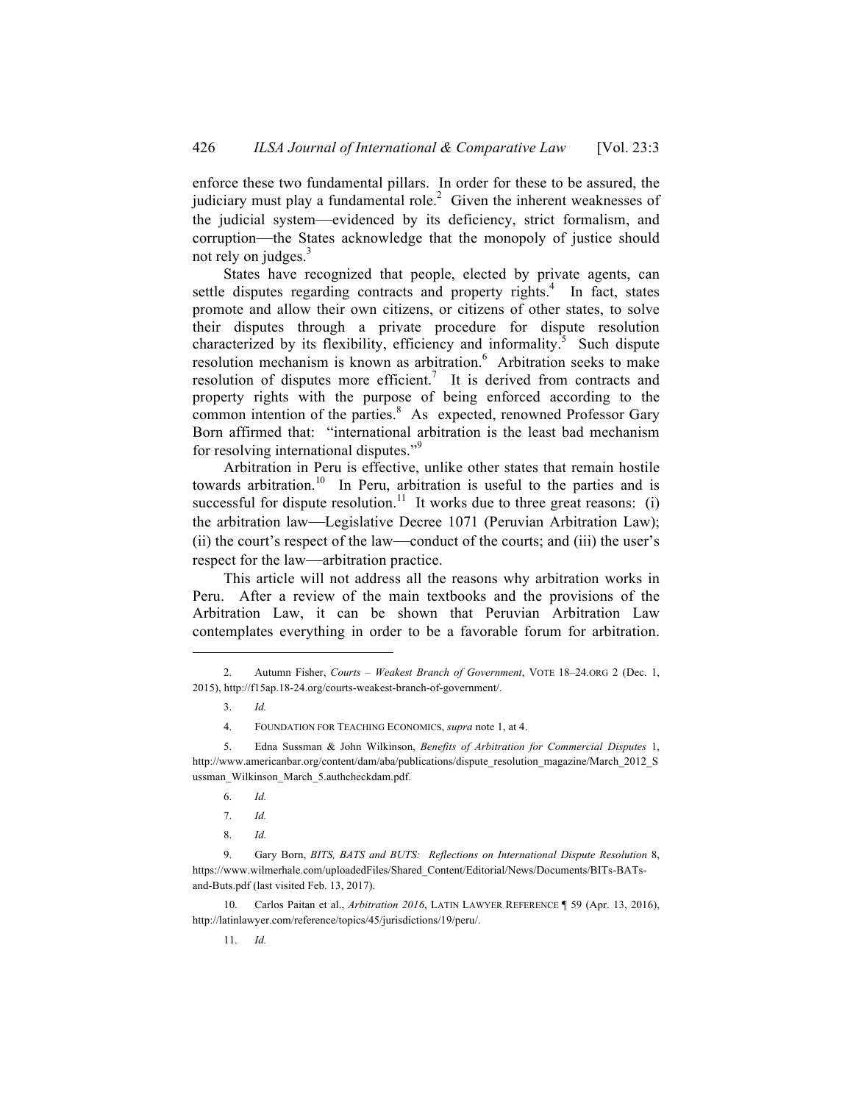enforce these two fundamental pillars. In order for these to be assured, the judiciary must play a fundamental role.<sup>2</sup> Given the inherent weaknesses of the judicial system—evidenced by its deficiency, strict formalism, and corruption—the States acknowledge that the monopoly of justice should not rely on judges. $3$ 

States have recognized that people, elected by private agents, can settle disputes regarding contracts and property rights.<sup>4</sup> In fact, states promote and allow their own citizens, or citizens of other states, to solve their disputes through a private procedure for dispute resolution characterized by its flexibility, efficiency and informality.<sup>5</sup> Such dispute resolution mechanism is known as arbitration.<sup>6</sup> Arbitration seeks to make resolution of disputes more efficient.<sup>7</sup> It is derived from contracts and property rights with the purpose of being enforced according to the common intention of the parties.<sup>8</sup> As expected, renowned Professor Gary Born affirmed that: "international arbitration is the least bad mechanism for resolving international disputes."<sup>9</sup>

Arbitration in Peru is effective, unlike other states that remain hostile towards arbitration.<sup>10</sup> In Peru, arbitration is useful to the parties and is successful for dispute resolution.<sup>11</sup> It works due to three great reasons: (i) the arbitration law—Legislative Decree 1071 (Peruvian Arbitration Law); (ii) the court's respect of the law—conduct of the courts; and (iii) the user's respect for the law—arbitration practice.

This article will not address all the reasons why arbitration works in Peru. After a review of the main textbooks and the provisions of the Arbitration Law, it can be shown that Peruvian Arbitration Law contemplates everything in order to be a favorable forum for arbitration.

 $\overline{a}$ 

4. FOUNDATION FOR TEACHING ECONOMICS, *supra* note 1, at 4.

6. *Id.*

8. *Id.*

10. Carlos Paitan et al., *Arbitration 2016*, LATIN LAWYER REFERENCE ¶ 59 (Apr. 13, 2016), http://latinlawyer.com/reference/topics/45/jurisdictions/19/peru/.

11. *Id.*

<sup>2.</sup> Autumn Fisher, *Courts – Weakest Branch of Government*, VOTE 18–24.ORG 2 (Dec. 1, 2015), http://f15ap.18-24.org/courts-weakest-branch-of-government/.

<sup>3.</sup> *Id.*

<sup>5.</sup> Edna Sussman & John Wilkinson, *Benefits of Arbitration for Commercial Disputes* 1, http://www.americanbar.org/content/dam/aba/publications/dispute\_resolution\_magazine/March\_2012\_S ussman\_Wilkinson\_March\_5.authcheckdam.pdf.

<sup>7.</sup> *Id.*

<sup>9.</sup> Gary Born, *BITS, BATS and BUTS: Reflections on International Dispute Resolution* 8, https://www.wilmerhale.com/uploadedFiles/Shared\_Content/Editorial/News/Documents/BITs-BATsand-Buts.pdf (last visited Feb. 13, 2017).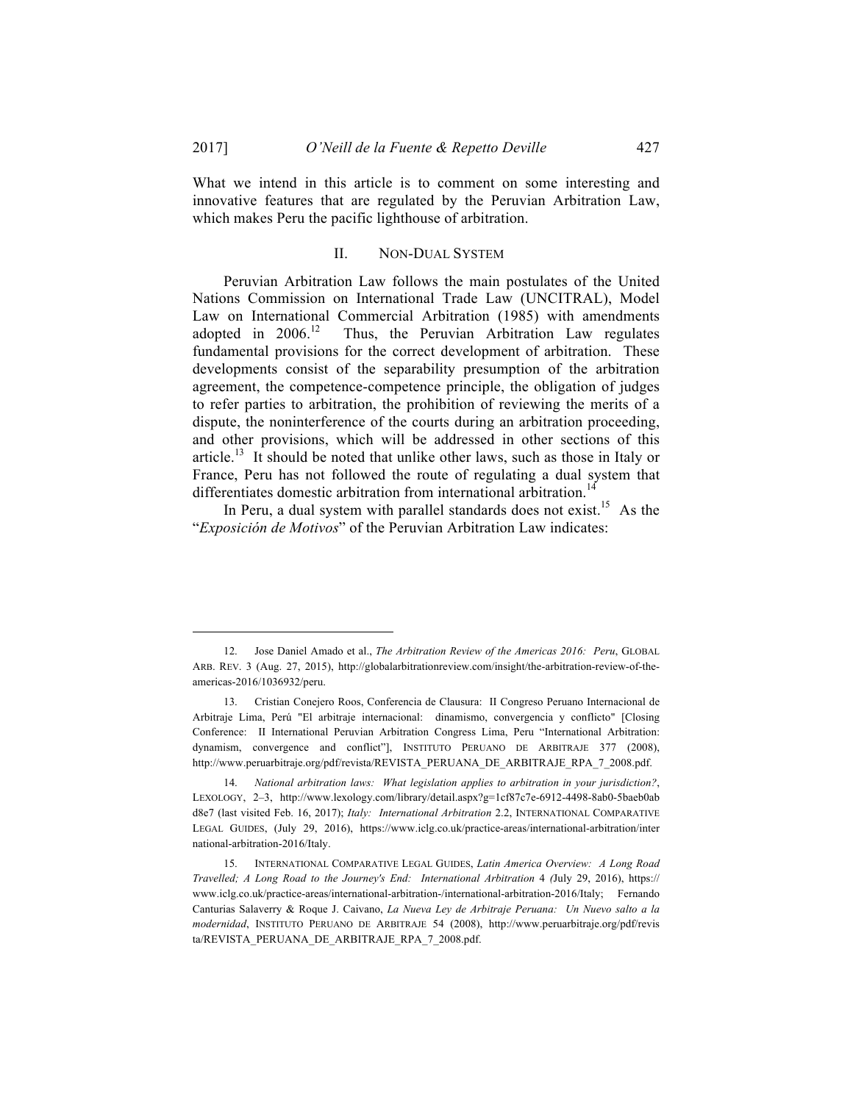What we intend in this article is to comment on some interesting and innovative features that are regulated by the Peruvian Arbitration Law, which makes Peru the pacific lighthouse of arbitration.

## II. NON-DUAL SYSTEM

Peruvian Arbitration Law follows the main postulates of the United Nations Commission on International Trade Law (UNCITRAL), Model Law on International Commercial Arbitration (1985) with amendments adopted in  $2006$ .<sup>12</sup> Thus, the Peruvian Arbitration Law regulates Thus, the Peruvian Arbitration Law regulates fundamental provisions for the correct development of arbitration. These developments consist of the separability presumption of the arbitration agreement, the competence-competence principle, the obligation of judges to refer parties to arbitration, the prohibition of reviewing the merits of a dispute, the noninterference of the courts during an arbitration proceeding, and other provisions, which will be addressed in other sections of this article.<sup>13</sup> It should be noted that unlike other laws, such as those in Italy or France, Peru has not followed the route of regulating a dual system that differentiates domestic arbitration from international arbitration.<sup>14</sup>

In Peru, a dual system with parallel standards does not exist.<sup>15</sup> As the "*Exposición de Motivos*" of the Peruvian Arbitration Law indicates:

<sup>12.</sup> Jose Daniel Amado et al., *The Arbitration Review of the Americas 2016: Peru*, GLOBAL ARB. REV. 3 (Aug. 27, 2015), http://globalarbitrationreview.com/insight/the-arbitration-review-of-theamericas-2016/1036932/peru.

<sup>13.</sup> Cristian Conejero Roos, Conferencia de Clausura: II Congreso Peruano Internacional de Arbitraje Lima, Perú "El arbitraje internacional: dinamismo, convergencia y conflicto" [Closing Conference: II International Peruvian Arbitration Congress Lima, Peru "International Arbitration: dynamism, convergence and conflict"], INSTITUTO PERUANO DE ARBITRAJE 377 (2008), http://www.peruarbitraje.org/pdf/revista/REVISTA\_PERUANA\_DE\_ARBITRAJE\_RPA\_7\_2008.pdf.

<sup>14.</sup> *National arbitration laws: What legislation applies to arbitration in your jurisdiction?*, LEXOLOGY, 2–3, http://www.lexology.com/library/detail.aspx?g=1cf87c7e-6912-4498-8ab0-5baeb0ab d8e7 (last visited Feb. 16, 2017); *Italy: International Arbitration* 2.2, INTERNATIONAL COMPARATIVE LEGAL GUIDES, (July 29, 2016), https://www.iclg.co.uk/practice-areas/international-arbitration/inter national-arbitration-2016/Italy.

<sup>15.</sup> INTERNATIONAL COMPARATIVE LEGAL GUIDES, *Latin America Overview: A Long Road Travelled; A Long Road to the Journey's End: International Arbitration* 4 *(*July 29, 2016), https:// www.iclg.co.uk/practice-areas/international-arbitration-/international-arbitration-2016/Italy; Fernando Canturias Salaverry & Roque J. Caivano, *La Nueva Ley de Arbitraje Peruana: Un Nuevo salto a la modernidad*, INSTITUTO PERUANO DE ARBITRAJE 54 (2008), http://www.peruarbitraje.org/pdf/revis ta/REVISTA\_PERUANA\_DE\_ARBITRAJE\_RPA\_7\_2008.pdf.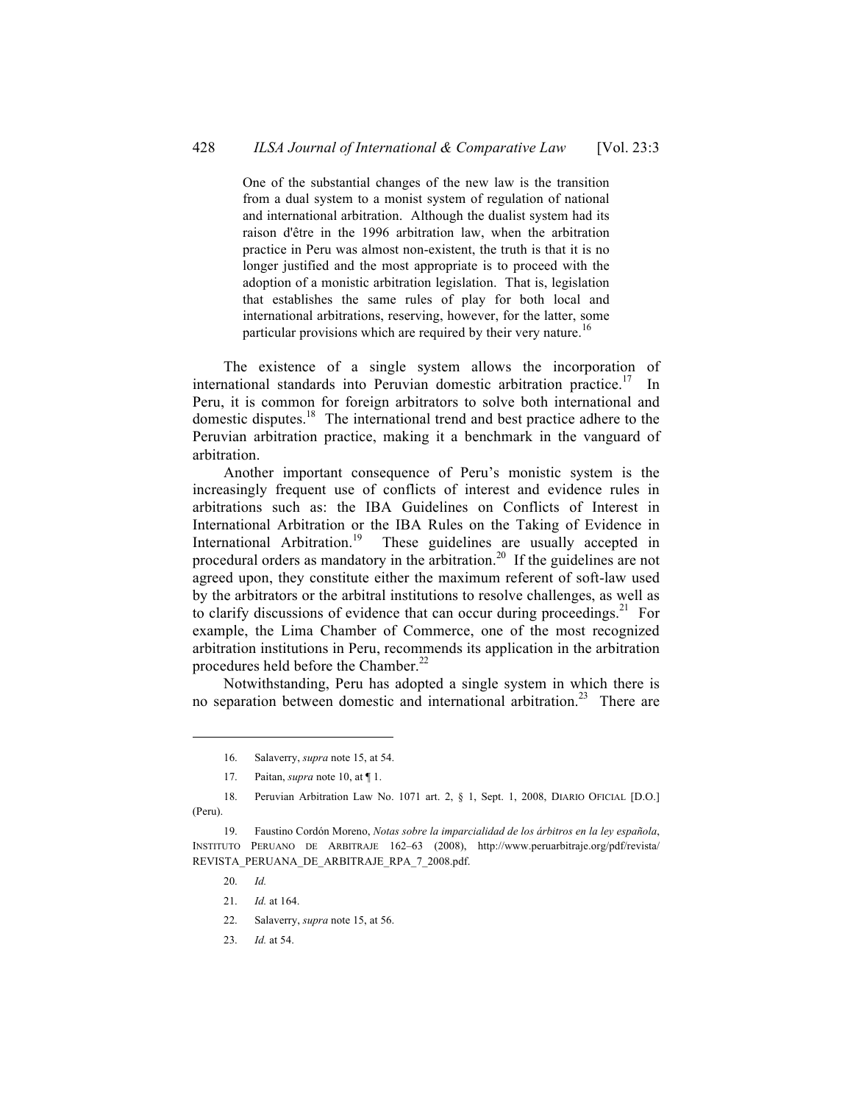One of the substantial changes of the new law is the transition from a dual system to a monist system of regulation of national and international arbitration. Although the dualist system had its raison d'être in the 1996 arbitration law, when the arbitration practice in Peru was almost non-existent, the truth is that it is no longer justified and the most appropriate is to proceed with the adoption of a monistic arbitration legislation. That is, legislation that establishes the same rules of play for both local and international arbitrations, reserving, however, for the latter, some particular provisions which are required by their very nature.<sup>16</sup>

The existence of a single system allows the incorporation of international standards into Peruvian domestic arbitration practice.<sup>17</sup> In Peru, it is common for foreign arbitrators to solve both international and domestic disputes.18 The international trend and best practice adhere to the Peruvian arbitration practice, making it a benchmark in the vanguard of arbitration.

Another important consequence of Peru's monistic system is the increasingly frequent use of conflicts of interest and evidence rules in arbitrations such as: the IBA Guidelines on Conflicts of Interest in International Arbitration or the IBA Rules on the Taking of Evidence in International Arbitration.<sup>19</sup> These guidelines are usually accepted in procedural orders as mandatory in the arbitration.<sup>20</sup> If the guidelines are not agreed upon, they constitute either the maximum referent of soft-law used by the arbitrators or the arbitral institutions to resolve challenges, as well as to clarify discussions of evidence that can occur during proceedings.<sup>21</sup> For example, the Lima Chamber of Commerce, one of the most recognized arbitration institutions in Peru, recommends its application in the arbitration procedures held before the Chamber.<sup>22</sup>

Notwithstanding, Peru has adopted a single system in which there is no separation between domestic and international arbitration. <sup>23</sup> There are

20. *Id.*

- 22. Salaverry, *supra* note 15, at 56.
- 23. *Id.* at 54.

<sup>16.</sup> Salaverry, *supra* note 15, at 54.

<sup>17.</sup> Paitan, *supra* note 10, at ¶ 1.

<sup>18.</sup> Peruvian Arbitration Law No. 1071 art. 2, § 1, Sept. 1, 2008, DIARIO OFICIAL [D.O.] (Peru).

<sup>19.</sup> Faustino Cordón Moreno, *Notas sobre la imparcialidad de los árbitros en la ley española*, INSTITUTO PERUANO DE ARBITRAJE 162–63 (2008), http://www.peruarbitraje.org/pdf/revista/ REVISTA\_PERUANA\_DE\_ARBITRAJE\_RPA\_7\_2008.pdf.

<sup>21.</sup> *Id.* at 164.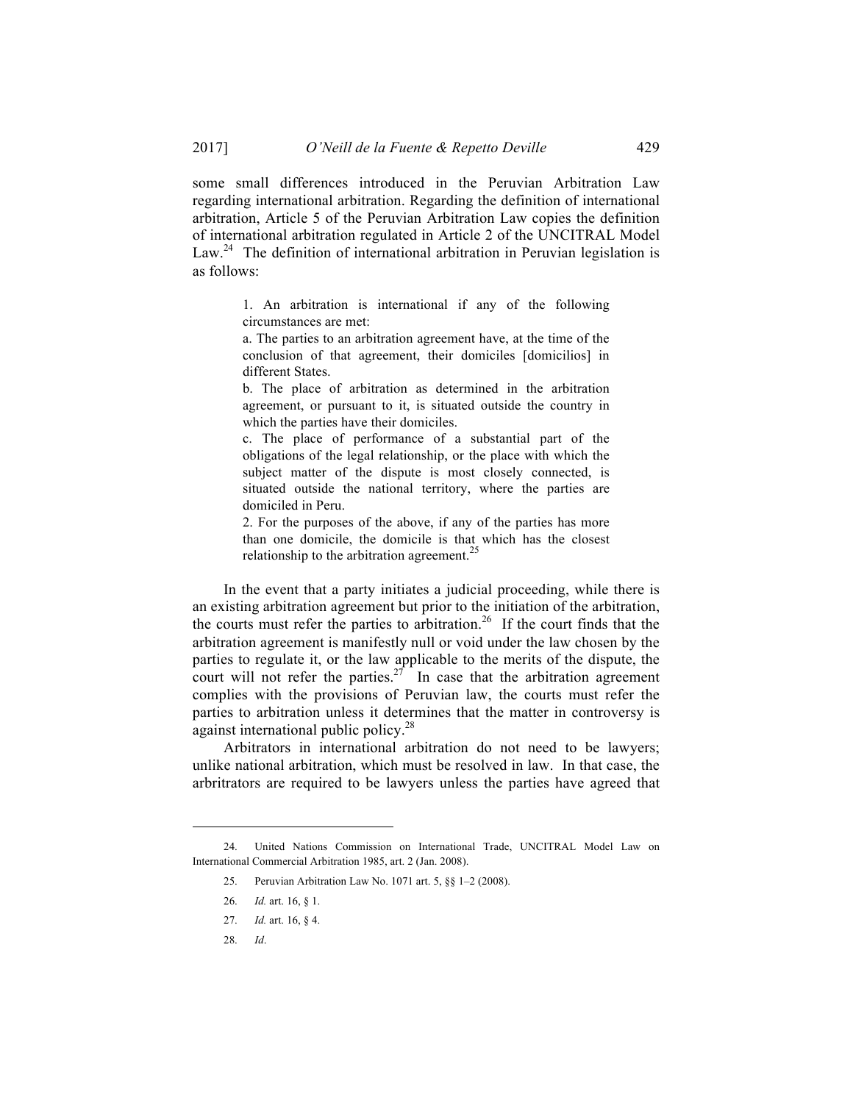some small differences introduced in the Peruvian Arbitration Law regarding international arbitration. Regarding the definition of international arbitration, Article 5 of the Peruvian Arbitration Law copies the definition of international arbitration regulated in Article 2 of the UNCITRAL Model Law.<sup>24</sup> The definition of international arbitration in Peruvian legislation is as follows:

> 1. An arbitration is international if any of the following circumstances are met:

> a. The parties to an arbitration agreement have, at the time of the conclusion of that agreement, their domiciles [domicilios] in different States.

> b. The place of arbitration as determined in the arbitration agreement, or pursuant to it, is situated outside the country in which the parties have their domiciles.

> c. The place of performance of a substantial part of the obligations of the legal relationship, or the place with which the subject matter of the dispute is most closely connected, is situated outside the national territory, where the parties are domiciled in Peru.

> 2. For the purposes of the above, if any of the parties has more than one domicile, the domicile is that which has the closest relationship to the arbitration agreement.<sup>25</sup>

In the event that a party initiates a judicial proceeding, while there is an existing arbitration agreement but prior to the initiation of the arbitration, the courts must refer the parties to arbitration. <sup>26</sup> If the court finds that the arbitration agreement is manifestly null or void under the law chosen by the parties to regulate it, or the law applicable to the merits of the dispute, the court will not refer the parties.<sup>27</sup> In case that the arbitration agreement complies with the provisions of Peruvian law, the courts must refer the parties to arbitration unless it determines that the matter in controversy is against international public policy.28

Arbitrators in international arbitration do not need to be lawyers; unlike national arbitration, which must be resolved in law. In that case, the arbritrators are required to be lawyers unless the parties have agreed that

28. *Id*.

<sup>24.</sup> United Nations Commission on International Trade, UNCITRAL Model Law on International Commercial Arbitration 1985, art. 2 (Jan. 2008).

<sup>25.</sup> Peruvian Arbitration Law No. 1071 art. 5, §§ 1–2 (2008).

<sup>26.</sup> *Id.* art. 16, § 1.

<sup>27.</sup> *Id.* art. 16, § 4.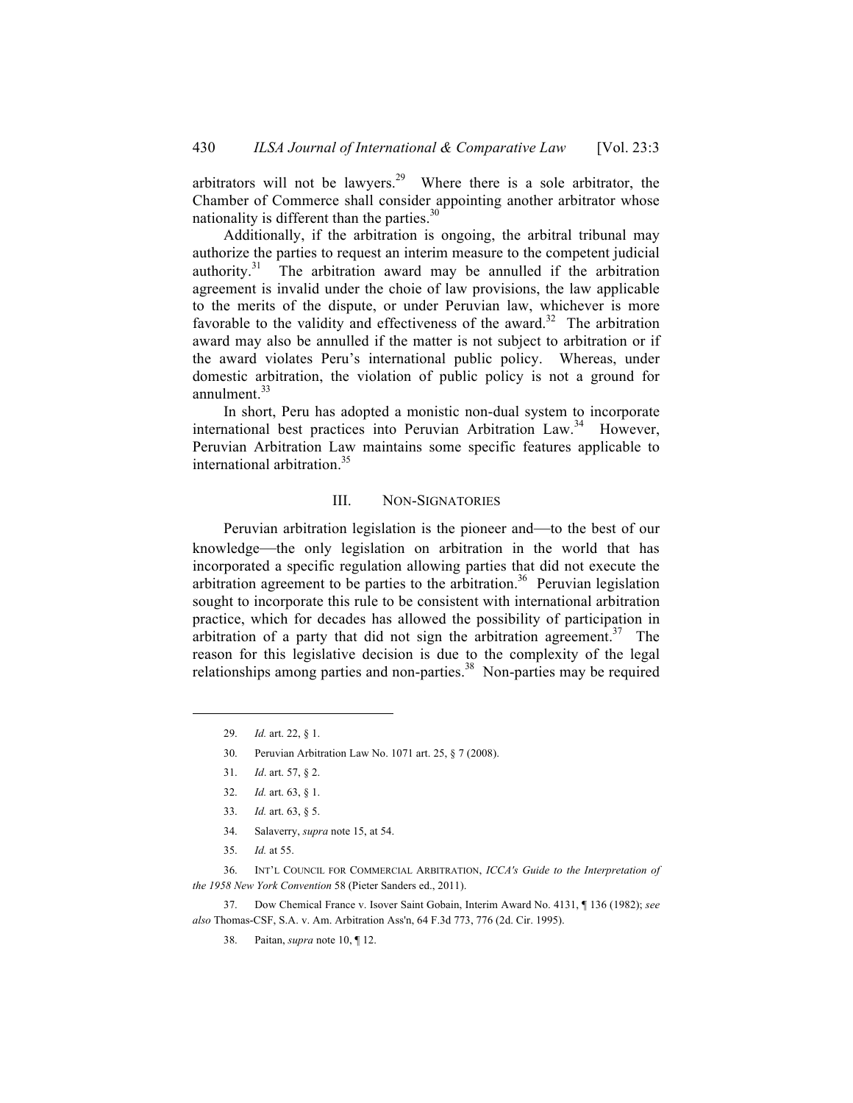arbitrators will not be lawyers.<sup>29</sup> Where there is a sole arbitrator, the Chamber of Commerce shall consider appointing another arbitrator whose nationality is different than the parties. $30$ 

Additionally, if the arbitration is ongoing, the arbitral tribunal may authorize the parties to request an interim measure to the competent judicial authority.<sup>31</sup> The arbitration award may be annulled if the arbitration agreement is invalid under the choie of law provisions, the law applicable to the merits of the dispute, or under Peruvian law, whichever is more favorable to the validity and effectiveness of the award.<sup>32</sup> The arbitration award may also be annulled if the matter is not subject to arbitration or if the award violates Peru's international public policy. Whereas, under domestic arbitration, the violation of public policy is not a ground for annulment. 33

In short, Peru has adopted a monistic non-dual system to incorporate international best practices into Peruvian Arbitration Law.<sup>34</sup> However, Peruvian Arbitration Law maintains some specific features applicable to international arbitration.35

## III. NON-SIGNATORIES

Peruvian arbitration legislation is the pioneer and—to the best of our knowledge—the only legislation on arbitration in the world that has incorporated a specific regulation allowing parties that did not execute the arbitration agreement to be parties to the arbitration.<sup>36</sup> Peruvian legislation sought to incorporate this rule to be consistent with international arbitration practice, which for decades has allowed the possibility of participation in arbitration of a party that did not sign the arbitration agreement.<sup>37</sup> The reason for this legislative decision is due to the complexity of the legal relationships among parties and non-parties.<sup>38</sup> Non-parties may be required

 $\overline{a}$ 

36. INT'L COUNCIL FOR COMMERCIAL ARBITRATION, *ICCA's Guide to the Interpretation of the 1958 New York Convention* 58 (Pieter Sanders ed., 2011).

37. Dow Chemical France v. Isover Saint Gobain, Interim Award No. 4131, ¶ 136 (1982); *see also* Thomas-CSF, S.A. v. Am. Arbitration Ass'n, 64 F.3d 773, 776 (2d. Cir. 1995).

<sup>29.</sup> *Id.* art. 22, § 1.

<sup>30.</sup> Peruvian Arbitration Law No. 1071 art. 25, § 7 (2008).

<sup>31.</sup> *Id*. art. 57, § 2.

<sup>32.</sup> *Id.* art. 63, § 1.

<sup>33.</sup> *Id.* art. 63, § 5.

<sup>34.</sup> Salaverry, *supra* note 15, at 54.

<sup>35.</sup> *Id.* at 55.

<sup>38.</sup> Paitan, *supra* note 10, ¶ 12.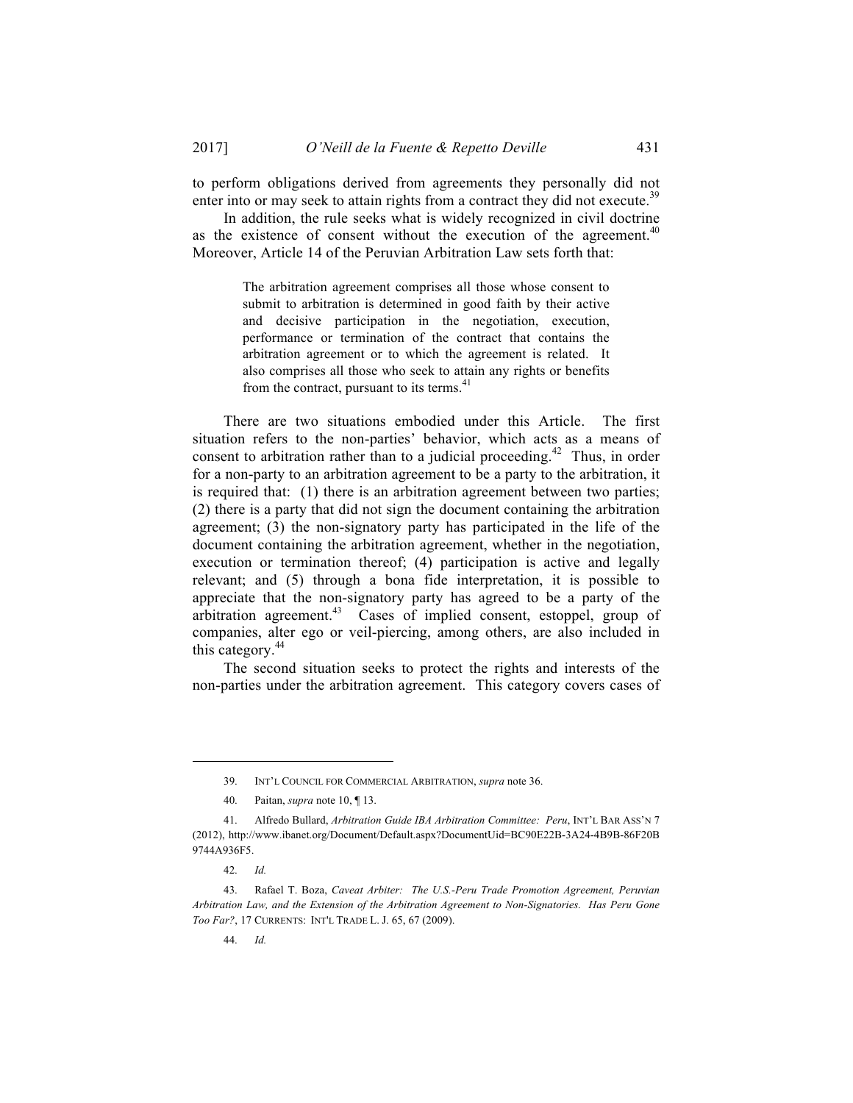to perform obligations derived from agreements they personally did not enter into or may seek to attain rights from a contract they did not execute.<sup>39</sup>

In addition, the rule seeks what is widely recognized in civil doctrine as the existence of consent without the execution of the agreement.<sup>40</sup> Moreover, Article 14 of the Peruvian Arbitration Law sets forth that:

> The arbitration agreement comprises all those whose consent to submit to arbitration is determined in good faith by their active and decisive participation in the negotiation, execution, performance or termination of the contract that contains the arbitration agreement or to which the agreement is related. It also comprises all those who seek to attain any rights or benefits from the contract, pursuant to its terms. $41$

There are two situations embodied under this Article. The first situation refers to the non-parties' behavior, which acts as a means of consent to arbitration rather than to a judicial proceeding.<sup>42</sup> Thus, in order for a non-party to an arbitration agreement to be a party to the arbitration, it is required that: (1) there is an arbitration agreement between two parties; (2) there is a party that did not sign the document containing the arbitration agreement; (3) the non-signatory party has participated in the life of the document containing the arbitration agreement, whether in the negotiation, execution or termination thereof; (4) participation is active and legally relevant; and (5) through a bona fide interpretation, it is possible to appreciate that the non-signatory party has agreed to be a party of the arbitration agreement.<sup>43</sup> Cases of implied consent, estoppel, group of companies, alter ego or veil-piercing, among others, are also included in this category.<sup>44</sup>

The second situation seeks to protect the rights and interests of the non-parties under the arbitration agreement. This category covers cases of

 $\overline{a}$ 

44. *Id.*

<sup>39.</sup> INT'L COUNCIL FOR COMMERCIAL ARBITRATION, *supra* note 36.

<sup>40.</sup> Paitan, *supra* note 10, ¶ 13.

<sup>41.</sup> Alfredo Bullard, *Arbitration Guide IBA Arbitration Committee: Peru*, INT'L BAR ASS'N 7 (2012), http://www.ibanet.org/Document/Default.aspx?DocumentUid=BC90E22B-3A24-4B9B-86F20B 9744A936F5.

<sup>42.</sup> *Id.*

<sup>43.</sup> Rafael T. Boza, *Caveat Arbiter: The U.S.-Peru Trade Promotion Agreement, Peruvian Arbitration Law, and the Extension of the Arbitration Agreement to Non-Signatories. Has Peru Gone Too Far?*, 17 CURRENTS: INT'L TRADE L. J. 65, 67 (2009).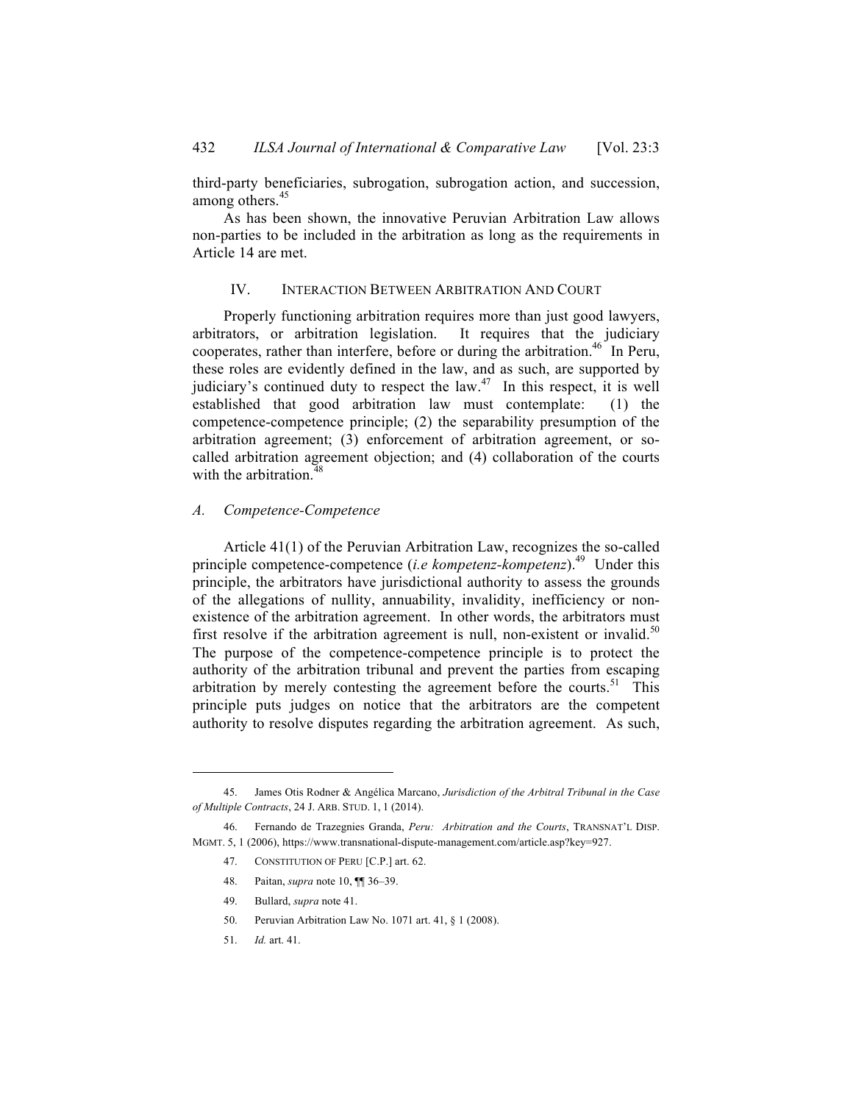third-party beneficiaries, subrogation, subrogation action, and succession, among others.<sup>45</sup>

As has been shown, the innovative Peruvian Arbitration Law allows non-parties to be included in the arbitration as long as the requirements in Article 14 are met.

## IV. INTERACTION BETWEEN ARBITRATION AND COURT

Properly functioning arbitration requires more than just good lawyers, arbitrators, or arbitration legislation. It requires that the judiciary cooperates, rather than interfere, before or during the arbitration.<sup>46</sup> In Peru, these roles are evidently defined in the law, and as such, are supported by judiciary's continued duty to respect the law. $47$  In this respect, it is well established that good arbitration law must contemplate: (1) the competence-competence principle; (2) the separability presumption of the arbitration agreement; (3) enforcement of arbitration agreement, or socalled arbitration agreement objection; and (4) collaboration of the courts with the arbitration.<sup>4</sup>

#### *A. Competence-Competence*

Article 41(1) of the Peruvian Arbitration Law, recognizes the so-called principle competence-competence (*i.e kompetenz-kompetenz*). <sup>49</sup> Under this principle, the arbitrators have jurisdictional authority to assess the grounds of the allegations of nullity, annuability, invalidity, inefficiency or nonexistence of the arbitration agreement. In other words, the arbitrators must first resolve if the arbitration agreement is null, non-existent or invalid.<sup>50</sup> The purpose of the competence-competence principle is to protect the authority of the arbitration tribunal and prevent the parties from escaping arbitration by merely contesting the agreement before the courts.<sup>51</sup> This principle puts judges on notice that the arbitrators are the competent authority to resolve disputes regarding the arbitration agreement. As such,

<sup>45.</sup> James Otis Rodner & Angélica Marcano, *Jurisdiction of the Arbitral Tribunal in the Case of Multiple Contracts*, 24 J. ARB. STUD. 1, 1 (2014).

<sup>46.</sup> Fernando de Trazegnies Granda, *Peru: Arbitration and the Courts*, TRANSNAT'L DISP. MGMT. 5, 1 (2006), https://www.transnational-dispute-management.com/article.asp?key=927.

<sup>47.</sup> CONSTITUTION OF PERU [C.P.] art. 62.

<sup>48.</sup> Paitan, *supra* note 10, ¶¶ 36–39.

<sup>49.</sup> Bullard, *supra* note 41.

<sup>50.</sup> Peruvian Arbitration Law No. 1071 art. 41, § 1 (2008).

<sup>51.</sup> *Id.* art. 41.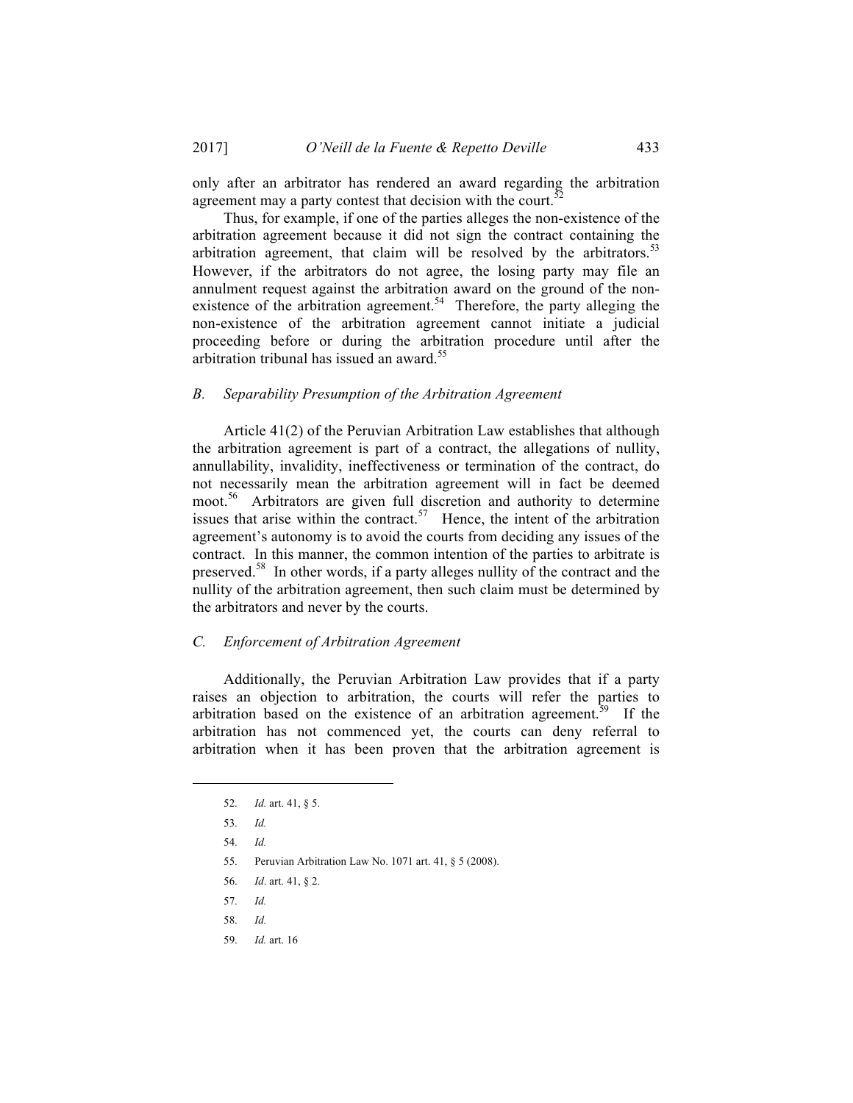only after an arbitrator has rendered an award regarding the arbitration agreement may a party contest that decision with the court.<sup>5</sup>

Thus, for example, if one of the parties alleges the non-existence of the arbitration agreement because it did not sign the contract containing the arbitration agreement, that claim will be resolved by the arbitrators.<sup>53</sup> However, if the arbitrators do not agree, the losing party may file an annulment request against the arbitration award on the ground of the nonexistence of the arbitration agreement.<sup>54</sup> Therefore, the party alleging the non-existence of the arbitration agreement cannot initiate a judicial proceeding before or during the arbitration procedure until after the arbitration tribunal has issued an award.<sup>55</sup>

## *B. Separability Presumption of the Arbitration Agreement*

Article 41(2) of the Peruvian Arbitration Law establishes that although the arbitration agreement is part of a contract, the allegations of nullity, annullability, invalidity, ineffectiveness or termination of the contract, do not necessarily mean the arbitration agreement will in fact be deemed moot. 56 Arbitrators are given full discretion and authority to determine issues that arise within the contract.<sup>57</sup> Hence, the intent of the arbitration agreement's autonomy is to avoid the courts from deciding any issues of the contract. In this manner, the common intention of the parties to arbitrate is preserved.<sup>58</sup> In other words, if a party alleges nullity of the contract and the nullity of the arbitration agreement, then such claim must be determined by the arbitrators and never by the courts.

## *C. Enforcement of Arbitration Agreement*

Additionally, the Peruvian Arbitration Law provides that if a party raises an objection to arbitration, the courts will refer the parties to arbitration based on the existence of an arbitration agreement.<sup>59</sup> If the arbitration has not commenced yet, the courts can deny referral to arbitration when it has been proven that the arbitration agreement is

<sup>52.</sup> *Id.* art. 41, § 5.

<sup>53.</sup> *Id.*

<sup>54.</sup> *Id.*

<sup>55.</sup> Peruvian Arbitration Law No. 1071 art. 41, § 5 (2008).

<sup>56.</sup> *Id*. art. 41, § 2.

<sup>57.</sup> *Id.* 

<sup>58.</sup> *Id.* 

<sup>59.</sup> *Id.* art. 16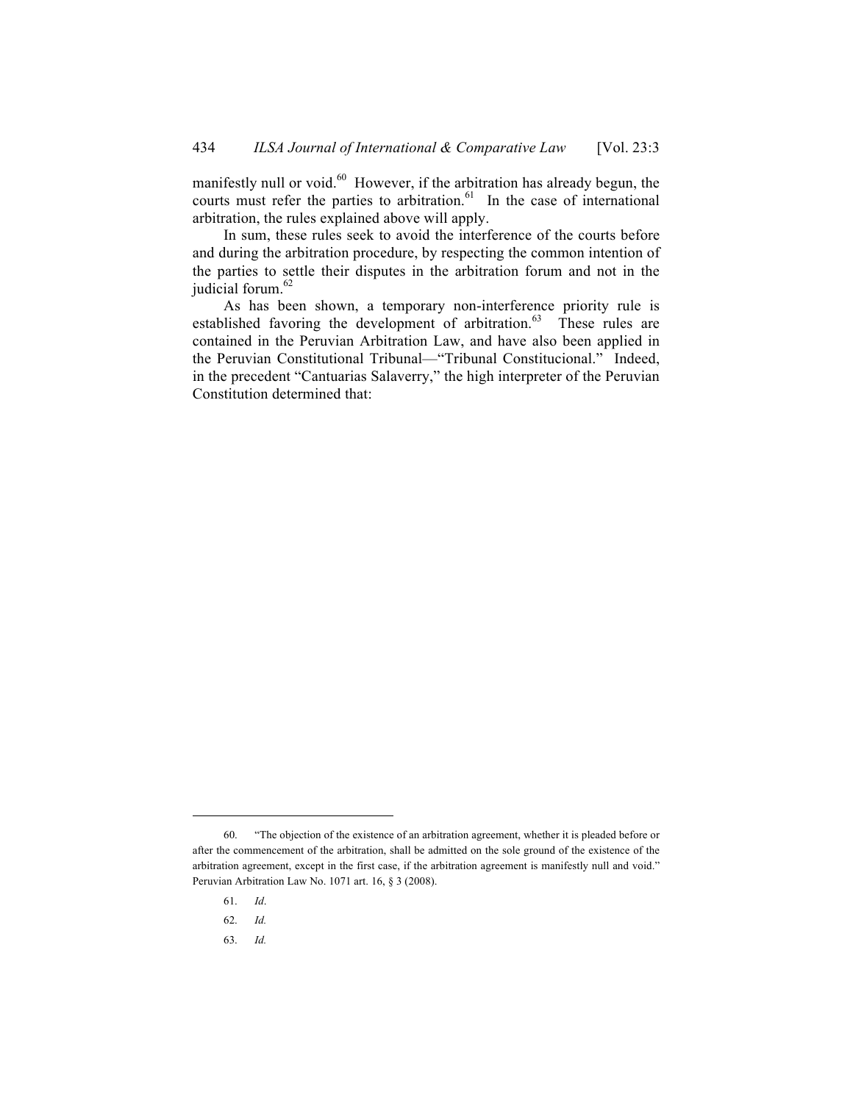manifestly null or void.<sup>60</sup> However, if the arbitration has already begun, the courts must refer the parties to arbitration.<sup>61</sup> In the case of international arbitration, the rules explained above will apply.

In sum, these rules seek to avoid the interference of the courts before and during the arbitration procedure, by respecting the common intention of the parties to settle their disputes in the arbitration forum and not in the judicial forum.<sup>62</sup>

As has been shown, a temporary non-interference priority rule is established favoring the development of arbitration.<sup>63</sup> These rules are contained in the Peruvian Arbitration Law, and have also been applied in the Peruvian Constitutional Tribunal—"Tribunal Constitucional." Indeed, in the precedent "Cantuarias Salaverry," the high interpreter of the Peruvian Constitution determined that:

61. *Id*.

- 62. *Id.*
- 63. *Id.*

<sup>60.</sup> "The objection of the existence of an arbitration agreement, whether it is pleaded before or after the commencement of the arbitration, shall be admitted on the sole ground of the existence of the arbitration agreement, except in the first case, if the arbitration agreement is manifestly null and void." Peruvian Arbitration Law No. 1071 art. 16, § 3 (2008).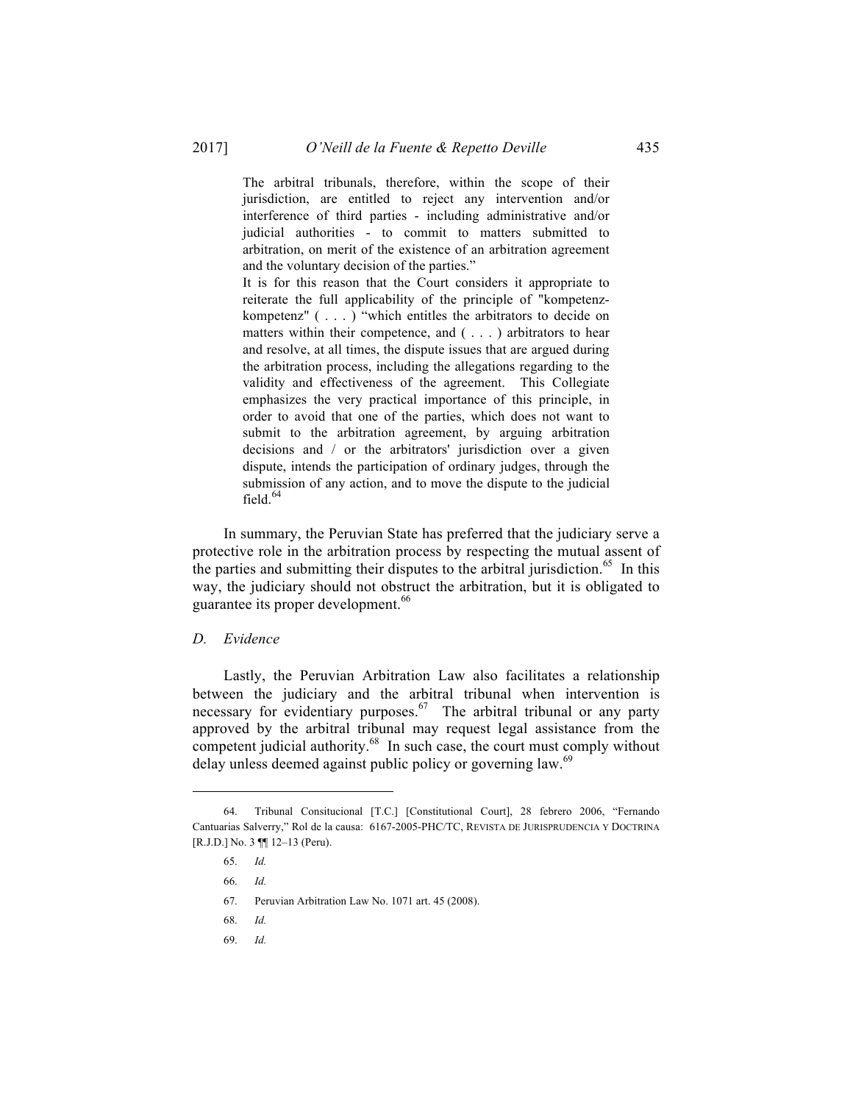The arbitral tribunals, therefore, within the scope of their jurisdiction, are entitled to reject any intervention and/or interference of third parties - including administrative and/or judicial authorities - to commit to matters submitted to arbitration, on merit of the existence of an arbitration agreement and the voluntary decision of the parties."

It is for this reason that the Court considers it appropriate to reiterate the full applicability of the principle of "kompetenzkompetenz" ( . . . ) "which entitles the arbitrators to decide on matters within their competence, and ( . . . ) arbitrators to hear and resolve, at all times, the dispute issues that are argued during the arbitration process, including the allegations regarding to the validity and effectiveness of the agreement. This Collegiate emphasizes the very practical importance of this principle, in order to avoid that one of the parties, which does not want to submit to the arbitration agreement, by arguing arbitration decisions and / or the arbitrators' jurisdiction over a given dispute, intends the participation of ordinary judges, through the submission of any action, and to move the dispute to the judicial field. $64$ 

In summary, the Peruvian State has preferred that the judiciary serve a protective role in the arbitration process by respecting the mutual assent of the parties and submitting their disputes to the arbitral jurisdiction.<sup>65</sup> In this way, the judiciary should not obstruct the arbitration, but it is obligated to guarantee its proper development.<sup>66</sup>

#### *D. Evidence*

Lastly, the Peruvian Arbitration Law also facilitates a relationship between the judiciary and the arbitral tribunal when intervention is necessary for evidentiary purposes.<sup>67</sup> The arbitral tribunal or any party approved by the arbitral tribunal may request legal assistance from the competent judicial authority. 68 In such case, the court must comply without delay unless deemed against public policy or governing law.<sup>69</sup>

 $\overline{a}$ 

69. *Id.*

<sup>64.</sup> Tribunal Consitucional [T.C.] [Constitutional Court], 28 febrero 2006, "Fernando Cantuarias Salverry," Rol de la causa: 6167-2005-PHC/TC, REVISTA DE JURISPRUDENCIA Y DOCTRINA [R.J.D.] No. 3 ¶¶ 12–13 (Peru).

<sup>65.</sup> *Id.*

<sup>66.</sup> *Id.*

<sup>67.</sup> Peruvian Arbitration Law No. 1071 art. 45 (2008).

<sup>68.</sup> *Id.*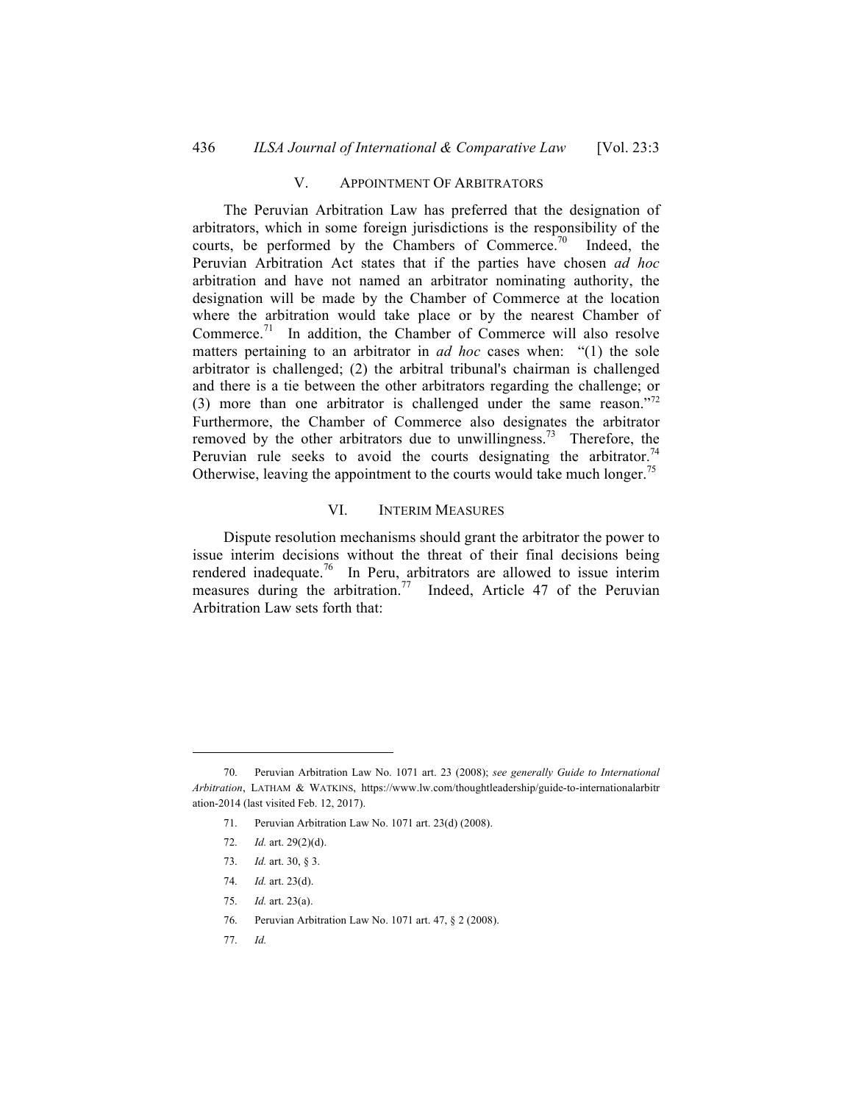## V. APPOINTMENT OF ARBITRATORS

The Peruvian Arbitration Law has preferred that the designation of arbitrators, which in some foreign jurisdictions is the responsibility of the courts, be performed by the Chambers of Commerce.<sup>70</sup> Indeed, the Peruvian Arbitration Act states that if the parties have chosen *ad hoc* arbitration and have not named an arbitrator nominating authority, the designation will be made by the Chamber of Commerce at the location where the arbitration would take place or by the nearest Chamber of Commerce.<sup>71</sup> In addition, the Chamber of Commerce will also resolve matters pertaining to an arbitrator in *ad hoc* cases when: "(1) the sole arbitrator is challenged; (2) the arbitral tribunal's chairman is challenged and there is a tie between the other arbitrators regarding the challenge; or (3) more than one arbitrator is challenged under the same reason."<sup>72</sup> Furthermore, the Chamber of Commerce also designates the arbitrator removed by the other arbitrators due to unwillingness.<sup>73</sup> Therefore, the Peruvian rule seeks to avoid the courts designating the arbitrator.<sup>74</sup> Otherwise, leaving the appointment to the courts would take much longer.<sup>75</sup>

## VI. INTERIM MEASURES

Dispute resolution mechanisms should grant the arbitrator the power to issue interim decisions without the threat of their final decisions being rendered inadequate.<sup>76</sup> In Peru, arbitrators are allowed to issue interim measures during the arbitration.<sup>77</sup> Indeed, Article 47 of the Peruvian Arbitration Law sets forth that:

77. *Id.*

<sup>70.</sup> Peruvian Arbitration Law No. 1071 art. 23 (2008); *see generally Guide to International Arbitration*, LATHAM & WATKINS, https://www.lw.com/thoughtleadership/guide-to-internationalarbitr ation-2014 (last visited Feb. 12, 2017).

<sup>71.</sup> Peruvian Arbitration Law No. 1071 art. 23(d) (2008).

<sup>72.</sup> *Id.* art. 29(2)(d).

<sup>73.</sup> *Id.* art. 30, § 3.

<sup>74.</sup> *Id.* art. 23(d).

<sup>75.</sup> *Id.* art. 23(a).

<sup>76.</sup> Peruvian Arbitration Law No. 1071 art. 47, § 2 (2008).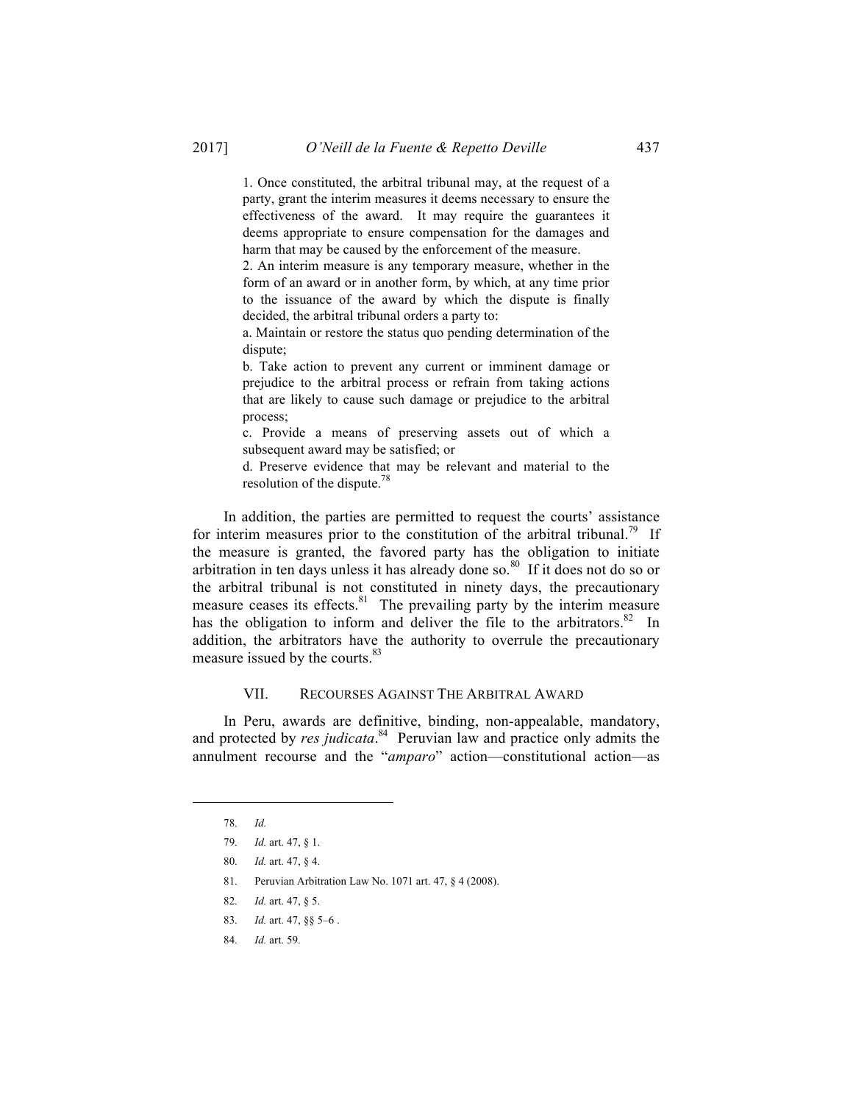1. Once constituted, the arbitral tribunal may, at the request of a party, grant the interim measures it deems necessary to ensure the effectiveness of the award. It may require the guarantees it deems appropriate to ensure compensation for the damages and harm that may be caused by the enforcement of the measure.

2. An interim measure is any temporary measure, whether in the form of an award or in another form, by which, at any time prior to the issuance of the award by which the dispute is finally decided, the arbitral tribunal orders a party to:

a. Maintain or restore the status quo pending determination of the dispute;

b. Take action to prevent any current or imminent damage or prejudice to the arbitral process or refrain from taking actions that are likely to cause such damage or prejudice to the arbitral process;

c. Provide a means of preserving assets out of which a subsequent award may be satisfied; or

d. Preserve evidence that may be relevant and material to the resolution of the dispute.78

In addition, the parties are permitted to request the courts' assistance for interim measures prior to the constitution of the arbitral tribunal.<sup>79</sup> If the measure is granted, the favored party has the obligation to initiate arbitration in ten days unless it has already done so.<sup>80</sup> If it does not do so or the arbitral tribunal is not constituted in ninety days, the precautionary measure ceases its effects.<sup>81</sup> The prevailing party by the interim measure has the obligation to inform and deliver the file to the arbitrators.<sup>82</sup> In addition, the arbitrators have the authority to overrule the precautionary measure issued by the courts.<sup>83</sup>

#### VII. RECOURSES AGAINST THE ARBITRAL AWARD

In Peru, awards are definitive, binding, non-appealable, mandatory, and protected by *res judicata*. <sup>84</sup> Peruvian law and practice only admits the annulment recourse and the "*amparo*" action—constitutional action—as

 $\overline{a}$ 

84. *Id.* art. 59.

<sup>78.</sup> *Id.*

<sup>79.</sup> *Id.* art. 47, § 1.

<sup>80.</sup> *Id.* art. 47, § 4.

<sup>81.</sup> Peruvian Arbitration Law No. 1071 art. 47, § 4 (2008).

<sup>82.</sup> *Id.* art. 47, § 5.

<sup>83.</sup> *Id.* art. 47, §§ 5–6 .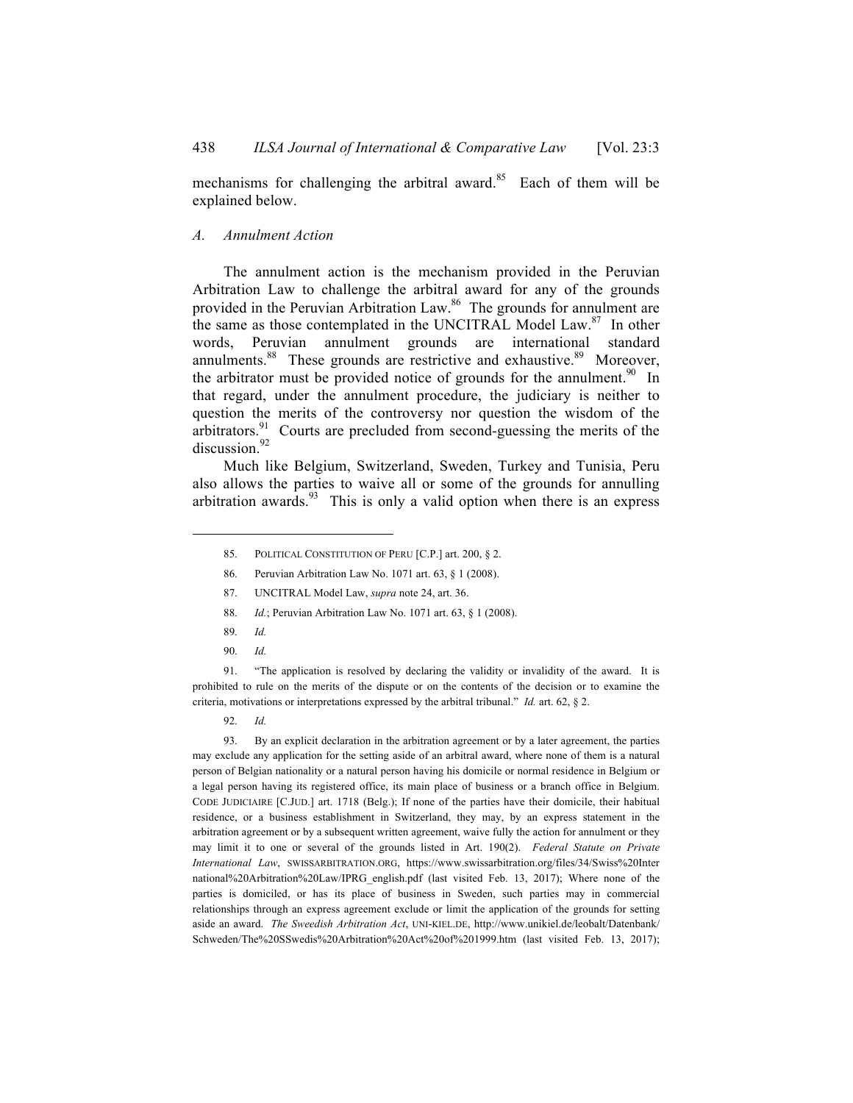mechanisms for challenging the arbitral award.<sup>85</sup> Each of them will be explained below.

#### *A. Annulment Action*

The annulment action is the mechanism provided in the Peruvian Arbitration Law to challenge the arbitral award for any of the grounds provided in the Peruvian Arbitration Law.86 The grounds for annulment are the same as those contemplated in the UNCITRAL Model Law.<sup>87</sup> In other words, Peruvian annulment grounds are international standard annulments.<sup>88</sup> These grounds are restrictive and exhaustive.<sup>89</sup> Moreover, the arbitrator must be provided notice of grounds for the annulment.<sup>90</sup> In that regard, under the annulment procedure, the judiciary is neither to question the merits of the controversy nor question the wisdom of the arbitrators.<sup>91</sup> Courts are precluded from second-guessing the merits of the discussion.<sup>92</sup>

Much like Belgium, Switzerland, Sweden, Turkey and Tunisia, Peru also allows the parties to waive all or some of the grounds for annulling arbitration awards. $93$  This is only a valid option when there is an express

- 87. UNCITRAL Model Law, *supra* note 24, art. 36.
- 88. *Id.*; Peruvian Arbitration Law No. 1071 art. 63, § 1 (2008).
- 89. *Id.*

l

90. *Id.*

91. "The application is resolved by declaring the validity or invalidity of the award. It is prohibited to rule on the merits of the dispute or on the contents of the decision or to examine the criteria, motivations or interpretations expressed by the arbitral tribunal." *Id.* art. 62, § 2.

92. *Id.*

93. By an explicit declaration in the arbitration agreement or by a later agreement, the parties may exclude any application for the setting aside of an arbitral award, where none of them is a natural person of Belgian nationality or a natural person having his domicile or normal residence in Belgium or a legal person having its registered office, its main place of business or a branch office in Belgium. CODE JUDICIAIRE [C.JUD.] art. 1718 (Belg.); If none of the parties have their domicile, their habitual residence, or a business establishment in Switzerland, they may, by an express statement in the arbitration agreement or by a subsequent written agreement, waive fully the action for annulment or they may limit it to one or several of the grounds listed in Art. 190(2). *Federal Statute on Private International Law*, SWISSARBITRATION.ORG, https://www.swissarbitration.org/files/34/Swiss%20Inter national%20Arbitration%20Law/IPRG english.pdf (last visited Feb. 13, 2017); Where none of the parties is domiciled, or has its place of business in Sweden, such parties may in commercial relationships through an express agreement exclude or limit the application of the grounds for setting aside an award. *The Sweedish Arbitration Act*, UNI-KIEL.DE, http://www.unikiel.de/leobalt/Datenbank/ Schweden/The%20SSwedis%20Arbitration%20Act%20of%201999.htm (last visited Feb. 13, 2017);

<sup>85.</sup> POLITICAL CONSTITUTION OF PERU [C.P.] art. 200, § 2.

<sup>86.</sup> Peruvian Arbitration Law No. 1071 art. 63, § 1 (2008).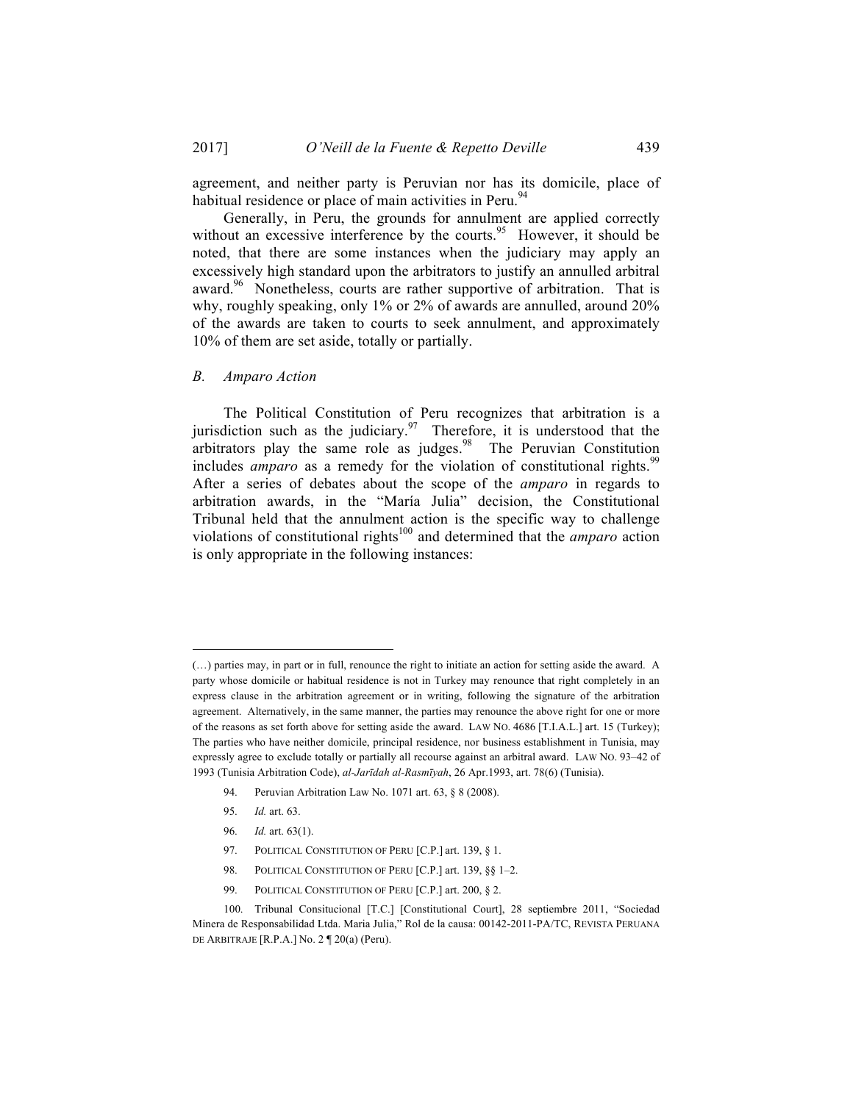agreement, and neither party is Peruvian nor has its domicile, place of habitual residence or place of main activities in Peru.<sup>94</sup>

Generally, in Peru, the grounds for annulment are applied correctly without an excessive interference by the courts.<sup>95</sup> However, it should be noted, that there are some instances when the judiciary may apply an excessively high standard upon the arbitrators to justify an annulled arbitral award.<sup>96</sup> Nonetheless, courts are rather supportive of arbitration. That is why, roughly speaking, only 1% or 2% of awards are annulled, around 20% of the awards are taken to courts to seek annulment, and approximately 10% of them are set aside, totally or partially.

*B. Amparo Action*

The Political Constitution of Peru recognizes that arbitration is a jurisdiction such as the judiciary.<sup>97</sup> Therefore, it is understood that the arbitrators play the same role as judges. $98$  The Peruvian Constitution includes *amparo* as a remedy for the violation of constitutional rights.<sup>99</sup> After a series of debates about the scope of the *amparo* in regards to arbitration awards, in the "María Julia" decision, the Constitutional Tribunal held that the annulment action is the specific way to challenge violations of constitutional rights<sup>100</sup> and determined that the *amparo* action is only appropriate in the following instances:

- 94. Peruvian Arbitration Law No. 1071 art. 63, § 8 (2008).
- 95. *Id.* art. 63.

- 96. *Id.* art. 63(1).
- 97. POLITICAL CONSTITUTION OF PERU [C.P.] art. 139, § 1.
- 98. POLITICAL CONSTITUTION OF PERU [C.P.] art. 139, §§ 1-2.
- 99. POLITICAL CONSTITUTION OF PERU [C.P.] art. 200, § 2.

<sup>(…)</sup> parties may, in part or in full, renounce the right to initiate an action for setting aside the award. A party whose domicile or habitual residence is not in Turkey may renounce that right completely in an express clause in the arbitration agreement or in writing, following the signature of the arbitration agreement. Alternatively, in the same manner, the parties may renounce the above right for one or more of the reasons as set forth above for setting aside the award. LAW NO. 4686 [T.I.A.L.] art. 15 (Turkey); The parties who have neither domicile, principal residence, nor business establishment in Tunisia, may expressly agree to exclude totally or partially all recourse against an arbitral award. LAW NO. 93–42 of 1993 (Tunisia Arbitration Code), *al-Jarīdah al-Rasmīyah*, 26 Apr.1993, art. 78(6) (Tunisia).

<sup>100.</sup> Tribunal Consitucional [T.C.] [Constitutional Court], 28 septiembre 2011, "Sociedad Minera de Responsabilidad Ltda. Maria Julia," Rol de la causa: 00142-2011-PA/TC, REVISTA PERUANA DE ARBITRAJE [R.P.A.] No. 2 ¶ 20(a) (Peru).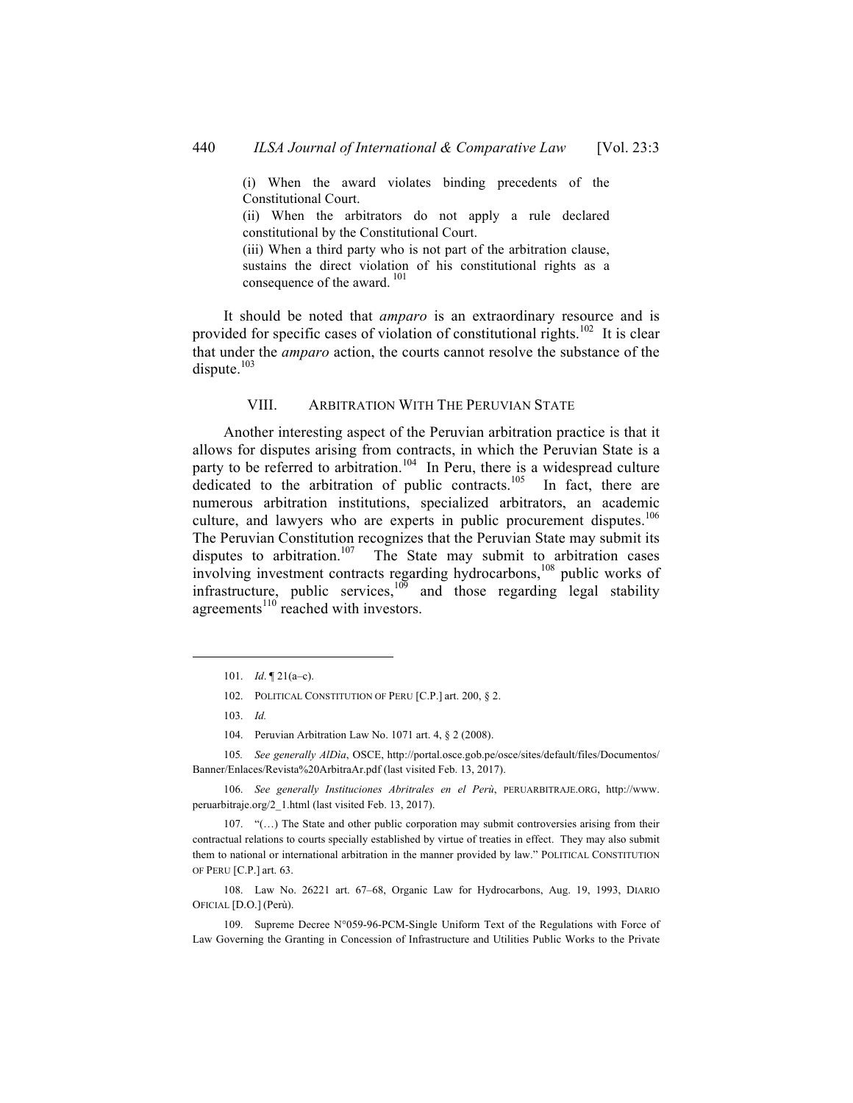(i) When the award violates binding precedents of the Constitutional Court.

(ii) When the arbitrators do not apply a rule declared constitutional by the Constitutional Court.

(iii) When a third party who is not part of the arbitration clause, sustains the direct violation of his constitutional rights as a consequence of the award.<sup>101</sup>

It should be noted that *amparo* is an extraordinary resource and is provided for specific cases of violation of constitutional rights.<sup>102</sup> It is clear that under the *amparo* action, the courts cannot resolve the substance of the dispute.<sup>103</sup>

## VIII. ARBITRATION WITH THE PERUVIAN STATE

Another interesting aspect of the Peruvian arbitration practice is that it allows for disputes arising from contracts, in which the Peruvian State is a party to be referred to arbitration.<sup>104</sup> In Peru, there is a widespread culture dedicated to the arbitration of public contracts.<sup>105</sup> In fact, there are numerous arbitration institutions, specialized arbitrators, an academic culture, and lawyers who are experts in public procurement disputes.<sup>106</sup> The Peruvian Constitution recognizes that the Peruvian State may submit its disputes to arbitration.<sup>107</sup> The State may submit to arbitration cases involving investment contracts regarding hydrocarbons,<sup>108</sup> public works of infrastructure, public services,  $10^{\overline{9}}$  and those regarding legal stability agreements<sup>110</sup> reached with investors.

- 102. POLITICAL CONSTITUTION OF PERU [C.P.] art. 200, § 2.
- 103. *Id.*

l

104. Peruvian Arbitration Law No. 1071 art. 4, § 2 (2008).

105*. See generally AlDìa*, OSCE, http://portal.osce.gob.pe/osce/sites/default/files/Documentos/ Banner/Enlaces/Revista%20ArbitraAr.pdf (last visited Feb. 13, 2017).

106. *See generally Instituciones Abritrales en el Perù*, PERUARBITRAJE.ORG, http://www. peruarbitraje.org/2\_1.html (last visited Feb. 13, 2017).

107. "(…) The State and other public corporation may submit controversies arising from their contractual relations to courts specially established by virtue of treaties in effect. They may also submit them to national or international arbitration in the manner provided by law." POLITICAL CONSTITUTION OF PERU [C.P.] art. 63.

108. Law No. 26221 art. 67–68, Organic Law for Hydrocarbons, Aug. 19, 1993, DIARIO OFICIAL [D.O.] (Perù).

109. Supreme Decree N°059-96-PCM-Single Uniform Text of the Regulations with Force of Law Governing the Granting in Concession of Infrastructure and Utilities Public Works to the Private

<sup>101.</sup> *Id*. ¶ 21(a–c).